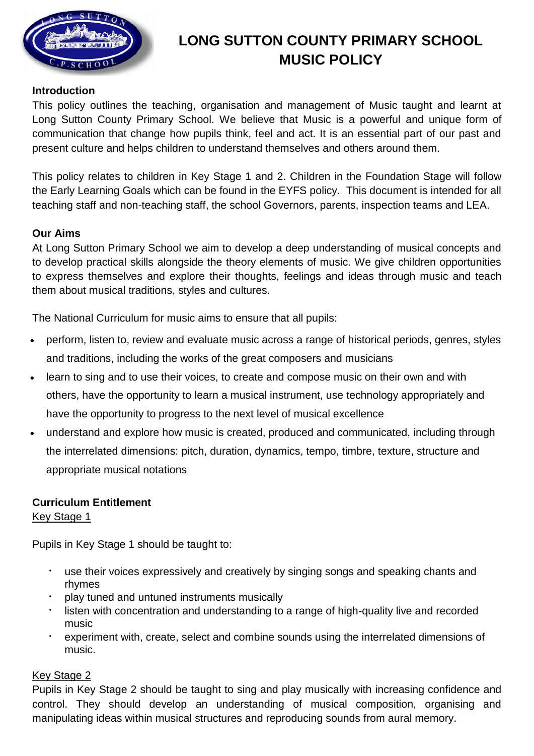

# **LONG SUTTON COUNTY PRIMARY SCHOOL MUSIC POLICY**

# **Introduction**

This policy outlines the teaching, organisation and management of Music taught and learnt at Long Sutton County Primary School. We believe that Music is a powerful and unique form of communication that change how pupils think, feel and act. It is an essential part of our past and present culture and helps children to understand themselves and others around them.

This policy relates to children in Key Stage 1 and 2. Children in the Foundation Stage will follow the Early Learning Goals which can be found in the EYFS policy. This document is intended for all teaching staff and non-teaching staff, the school Governors, parents, inspection teams and LEA.

# **Our Aims**

At Long Sutton Primary School we aim to develop a deep understanding of musical concepts and to develop practical skills alongside the theory elements of music. We give children opportunities to express themselves and explore their thoughts, feelings and ideas through music and teach them about musical traditions, styles and cultures.

The National Curriculum for music aims to ensure that all pupils:

- perform, listen to, review and evaluate music across a range of historical periods, genres, styles and traditions, including the works of the great composers and musicians
- learn to sing and to use their voices, to create and compose music on their own and with others, have the opportunity to learn a musical instrument, use technology appropriately and have the opportunity to progress to the next level of musical excellence
- understand and explore how music is created, produced and communicated, including through the interrelated dimensions: pitch, duration, dynamics, tempo, timbre, texture, structure and appropriate musical notations

# **Curriculum Entitlement**

## Key Stage 1

Pupils in Key Stage 1 should be taught to:

- use their voices expressively and creatively by singing songs and speaking chants and rhymes
- play tuned and untuned instruments musically
- listen with concentration and understanding to a range of high-quality live and recorded music
- experiment with, create, select and combine sounds using the interrelated dimensions of music.

# Key Stage 2

Pupils in Key Stage 2 should be taught to sing and play musically with increasing confidence and control. They should develop an understanding of musical composition, organising and manipulating ideas within musical structures and reproducing sounds from aural memory.